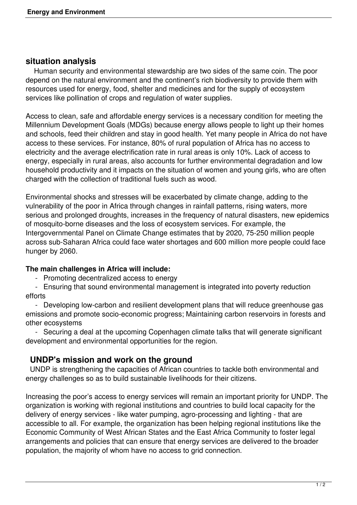## **situation analysis**

 Human security and environmental stewardship are two sides of the same coin. The poor depend on the natural environment and the continent's rich biodiversity to provide them with resources used for energy, food, shelter and medicines and for the supply of ecosystem services like pollination of crops and regulation of water supplies.

Access to clean, safe and affordable energy services is a necessary condition for meeting the Millennium Development Goals (MDGs) because energy allows people to light up their homes and schools, feed their children and stay in good health. Yet many people in Africa do not have access to these services. For instance, 80% of rural population of Africa has no access to electricity and the average electrification rate in rural areas is only 10%. Lack of access to energy, especially in rural areas, also accounts for further environmental degradation and low household productivity and it impacts on the situation of women and young girls, who are often charged with the collection of traditional fuels such as wood.

Environmental shocks and stresses will be exacerbated by climate change, adding to the vulnerability of the poor in Africa through changes in rainfall patterns, rising waters, more serious and prolonged droughts, increases in the frequency of natural disasters, new epidemics of mosquito-borne diseases and the loss of ecosystem services. For example, the Intergovernmental Panel on Climate Change estimates that by 2020, 75-250 million people across sub-Saharan Africa could face water shortages and 600 million more people could face hunger by 2060.

## **The main challenges in Africa will include:**

- Promoting decentralized access to energy

 - Ensuring that sound environmental management is integrated into poverty reduction efforts

 - Developing low-carbon and resilient development plans that will reduce greenhouse gas emissions and promote socio-economic progress; Maintaining carbon reservoirs in forests and other ecosystems

 - Securing a deal at the upcoming Copenhagen climate talks that will generate significant development and environmental opportunities for the region.

## **UNDP's mission and work on the ground**

 UNDP is strengthening the capacities of African countries to tackle both environmental and energy challenges so as to build sustainable livelihoods for their citizens.

Increasing the poor's access to energy services will remain an important priority for UNDP. The organization is working with regional institutions and countries to build local capacity for the delivery of energy services - like water pumping, agro-processing and lighting - that are accessible to all. For example, the organization has been helping regional institutions like the Economic Community of West African States and the East Africa Community to foster legal arrangements and policies that can ensure that energy services are delivered to the broader population, the majority of whom have no access to grid connection.